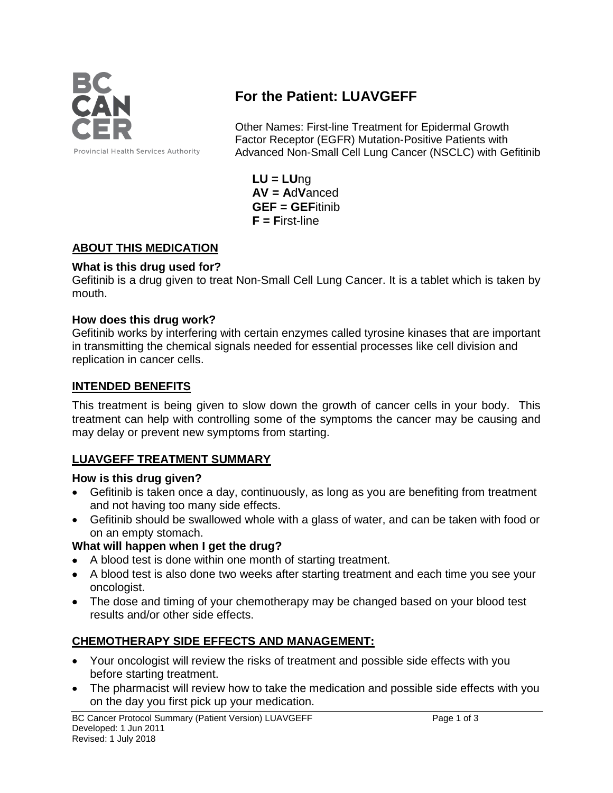

# **For the Patient: LUAVGEFF**

Other Names: First-line Treatment for Epidermal Growth Factor Receptor (EGFR) Mutation-Positive Patients with Advanced Non-Small Cell Lung Cancer (NSCLC) with Gefitinib

**LU = LU**ng **AV = A**d**V**anced **GEF = GEF**itinib **F = F**irst-line

## **ABOUT THIS MEDICATION**

#### **What is this drug used for?**

Gefitinib is a drug given to treat Non-Small Cell Lung Cancer. It is a tablet which is taken by mouth.

#### **How does this drug work?**

Gefitinib works by interfering with certain enzymes called tyrosine kinases that are important in transmitting the chemical signals needed for essential processes like cell division and replication in cancer cells.

#### **INTENDED BENEFITS**

This treatment is being given to slow down the growth of cancer cells in your body. This treatment can help with controlling some of the symptoms the cancer may be causing and may delay or prevent new symptoms from starting.

### **LUAVGEFF TREATMENT SUMMARY**

#### **How is this drug given?**

- Gefitinib is taken once a day, continuously, as long as you are benefiting from treatment and not having too many side effects.
- Gefitinib should be swallowed whole with a glass of water, and can be taken with food or on an empty stomach.

### **What will happen when I get the drug?**

- A blood test is done within one month of starting treatment.
- A blood test is also done two weeks after starting treatment and each time you see your oncologist.
- The dose and timing of your chemotherapy may be changed based on your blood test results and/or other side effects.

### **CHEMOTHERAPY SIDE EFFECTS AND MANAGEMENT:**

- Your oncologist will review the risks of treatment and possible side effects with you before starting treatment.
- The pharmacist will review how to take the medication and possible side effects with you on the day you first pick up your medication.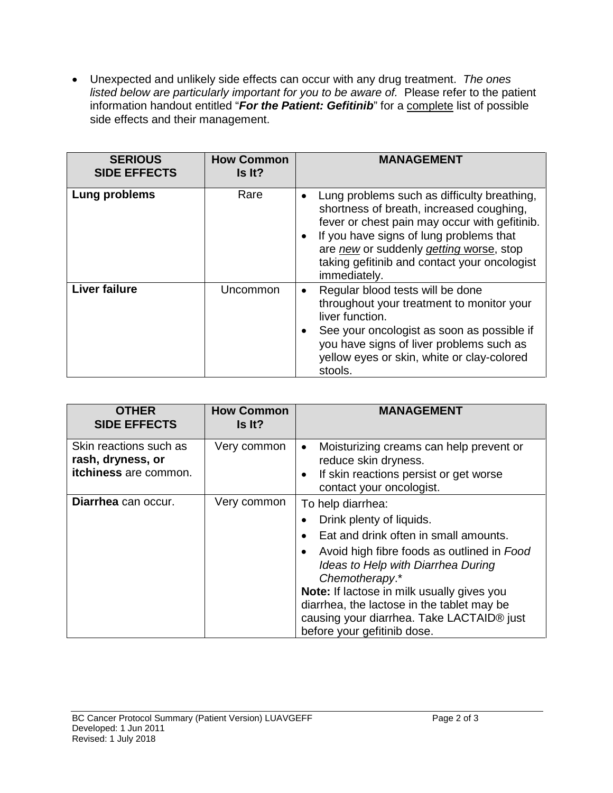• Unexpected and unlikely side effects can occur with any drug treatment. *The ones listed below are particularly important for you to be aware of.* Please refer to the patient information handout entitled "*For the Patient: Gefitinib*" for a complete list of possible side effects and their management.

| <b>SERIOUS</b><br><b>SIDE EFFECTS</b> | <b>How Common</b><br>Is It? | <b>MANAGEMENT</b>                                                                                                                                                                                                                                                                              |
|---------------------------------------|-----------------------------|------------------------------------------------------------------------------------------------------------------------------------------------------------------------------------------------------------------------------------------------------------------------------------------------|
| Lung problems                         | Rare                        | Lung problems such as difficulty breathing,<br>shortness of breath, increased coughing,<br>fever or chest pain may occur with gefitinib.<br>If you have signs of lung problems that<br>are new or suddenly getting worse, stop<br>taking gefitinib and contact your oncologist<br>immediately. |
| <b>Liver failure</b>                  | Uncommon                    | Regular blood tests will be done<br>$\bullet$<br>throughout your treatment to monitor your<br>liver function.<br>See your oncologist as soon as possible if<br>you have signs of liver problems such as<br>yellow eyes or skin, white or clay-colored<br>stools.                               |

| <b>OTHER</b><br><b>SIDE EFFECTS</b>                                  | <b>How Common</b><br>Is It? | <b>MANAGEMENT</b>                                                                                                                                                                                                                                                                                                                                                    |
|----------------------------------------------------------------------|-----------------------------|----------------------------------------------------------------------------------------------------------------------------------------------------------------------------------------------------------------------------------------------------------------------------------------------------------------------------------------------------------------------|
| Skin reactions such as<br>rash, dryness, or<br>itchiness are common. | Very common                 | Moisturizing creams can help prevent or<br>$\bullet$<br>reduce skin dryness.<br>If skin reactions persist or get worse<br>contact your oncologist.                                                                                                                                                                                                                   |
| Diarrhea can occur.                                                  | Very common                 | To help diarrhea:<br>Drink plenty of liquids.<br>Eat and drink often in small amounts.<br>Avoid high fibre foods as outlined in Food<br>Ideas to Help with Diarrhea During<br>Chemotherapy.*<br>Note: If lactose in milk usually gives you<br>diarrhea, the lactose in the tablet may be<br>causing your diarrhea. Take LACTAID® just<br>before your gefitinib dose. |